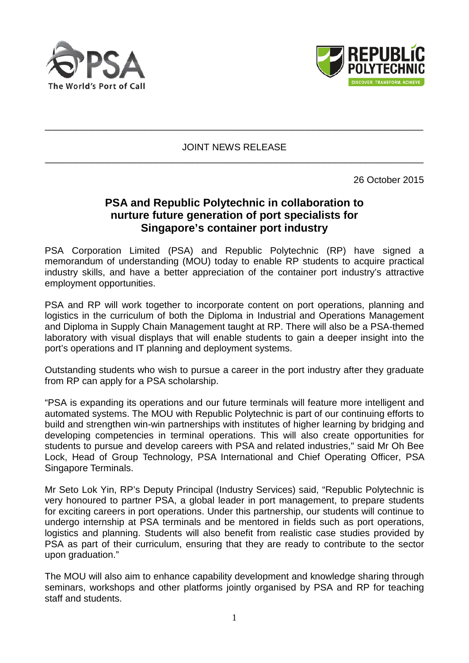



JOINT NEWS RELEASE \_\_\_\_\_\_\_\_\_\_\_\_\_\_\_\_\_\_\_\_\_\_\_\_\_\_\_\_\_\_\_\_\_\_\_\_\_\_\_\_\_\_\_\_\_\_\_\_\_\_\_\_\_\_\_\_\_\_\_\_\_\_\_\_\_\_\_\_\_\_\_\_

\_\_\_\_\_\_\_\_\_\_\_\_\_\_\_\_\_\_\_\_\_\_\_\_\_\_\_\_\_\_\_\_\_\_\_\_\_\_\_\_\_\_\_\_\_\_\_\_\_\_\_\_\_\_\_\_\_\_\_\_\_\_\_\_\_\_\_\_\_\_\_\_

26 October 2015

# **PSA and Republic Polytechnic in collaboration to nurture future generation of port specialists for Singapore's container port industry**

PSA Corporation Limited (PSA) and Republic Polytechnic (RP) have signed a memorandum of understanding (MOU) today to enable RP students to acquire practical industry skills, and have a better appreciation of the container port industry's attractive employment opportunities.

PSA and RP will work together to incorporate content on port operations, planning and logistics in the curriculum of both the Diploma in Industrial and Operations Management and Diploma in Supply Chain Management taught at RP. There will also be a PSA-themed laboratory with visual displays that will enable students to gain a deeper insight into the port's operations and IT planning and deployment systems.

Outstanding students who wish to pursue a career in the port industry after they graduate from RP can apply for a PSA scholarship.

"PSA is expanding its operations and our future terminals will feature more intelligent and automated systems. The MOU with Republic Polytechnic is part of our continuing efforts to build and strengthen win-win partnerships with institutes of higher learning by bridging and developing competencies in terminal operations. This will also create opportunities for students to pursue and develop careers with PSA and related industries," said Mr Oh Bee Lock, Head of Group Technology, PSA International and Chief Operating Officer, PSA Singapore Terminals.

Mr Seto Lok Yin, RP's Deputy Principal (Industry Services) said, "Republic Polytechnic is very honoured to partner PSA, a global leader in port management, to prepare students for exciting careers in port operations. Under this partnership, our students will continue to undergo internship at PSA terminals and be mentored in fields such as port operations, logistics and planning. Students will also benefit from realistic case studies provided by PSA as part of their curriculum, ensuring that they are ready to contribute to the sector upon graduation."

The MOU will also aim to enhance capability development and knowledge sharing through seminars, workshops and other platforms jointly organised by PSA and RP for teaching staff and students.